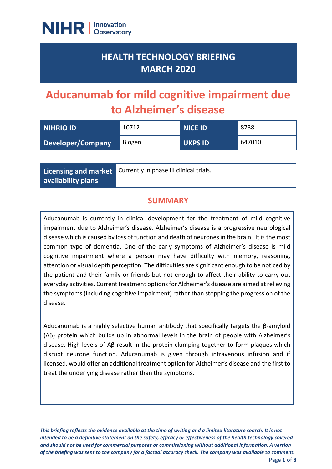

## **HEALTH TECHNOLOGY BRIEFING MARCH 2020**

# **Aducanumab for mild cognitive impairment due to Alzheimer's disease**

| NIHRIO ID         | 10712  | NICE ID'       | 8738   |
|-------------------|--------|----------------|--------|
| Developer/Company | Biogen | <b>UKPS ID</b> | 647010 |

**Licensing and market availability plans**

Currently in phase III clinical trials.

## **SUMMARY**

Aducanumab is currently in clinical development for the treatment of mild cognitive impairment due to Alzheimer's disease. Alzheimer's disease is a progressive neurological disease which is caused by loss of function and death of neurones in the brain. It is the most common type of dementia. One of the early symptoms of Alzheimer's disease is mild cognitive impairment where a person may have difficulty with memory, reasoning, attention or visual depth perception. The difficulties are significant enough to be noticed by the patient and their family or friends but not enough to affect their ability to carry out everyday activities. Current treatment optionsfor Alzheimer's disease are aimed at relieving the symptoms (including cognitive impairment) rather than stopping the progression of the disease.

Aducanumab is a highly selective human antibody that specifically targets the β-amyloid (Aβ) protein which builds up in abnormal levels in the brain of people with Alzheimer's disease. High levels of Aβ result in the protein clumping together to form plaques which disrupt neurone function. Aducanumab is given through intravenous infusion and if licensed, would offer an additional treatment option for Alzheimer's disease and the first to treat the underlying disease rather than the symptoms.

*This briefing reflects the evidence available at the time of writing and a limited literature search. It is not intended to be a definitive statement on the safety, efficacy or effectiveness of the health technology covered and should not be used for commercial purposes or commissioning without additional information. A version of the briefing was sent to the company for a factual accuracy check. The company was available to comment.*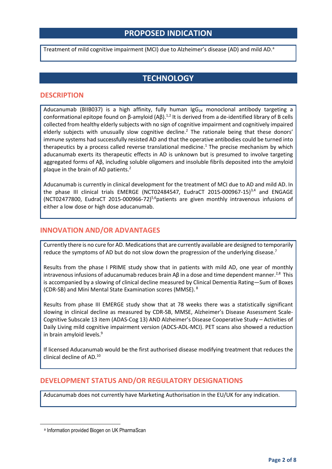## **PROPOSED INDICATION**

Tre[a](#page-1-0)tment of mild cognitive impairment (MCI) due to Alzheimer's disease (AD) and mild AD.<sup>a</sup>

## **TECHNOLOGY**

#### **DESCRIPTION**

Aducanumab (BIIB037) is a high affinity, fully human IgG $_{1K}$  monoclonal antibody targeting a conformational epitope found on β-amyloid  $(Αβ)$ .<sup>1,2</sup> It is derived from a de-identified library of B cells collected from healthy elderly subjects with no sign of cognitive impairment and cognitively impaired elderly subjects with unusually slow cognitive decline.<sup>2</sup> The rationale being that these donors' immune systems had successfully resisted AD and that the operative antibodies could be turned into therapeutics by a process called reverse translational medicine.1 The precise mechanism by which aducanumab exerts its therapeutic effects in AD is unknown but is presumed to involve targeting aggregated forms of Aβ, including soluble oligomers and insoluble fibrils deposited into the amyloid plaque in the brain of AD patients.<sup>2</sup>

Aducanumab is currently in clinical development for the treatment of MCI due to AD and mild AD. In the phase III clinical trials EMERGE (NCT02484547, EudraCT 2015-000967-15)<sup>3,4</sup> and ENGAGE (NCT02477800, EudraCT 2015-000966-72)<sup>5,6</sup>patients are given monthly intravenous infusions of either a low dose or high dose aducanumab.

#### **INNOVATION AND/OR ADVANTAGES**

Currently there is no cure for AD. Medications that are currently available are designed to temporarily reduce the symptoms of AD but do not slow down the progression of the underlying disease.<sup>7</sup>

Results from the phase I PRIME study show that in patients with mild AD, one year of monthly intravenous infusions of aducanumab reduces brain Aβ in a dose and time dependent manner.<sup>2,8</sup> This is accompanied by a slowing of clinical decline measured by Clinical Dementia Rating—Sum of Boxes (CDR-SB) and Mini Mental State Examination scores (MMSE). <sup>8</sup>

Results from phase III EMERGE study show that at 78 weeks there was a statistically significant slowing in clinical decline as measured by CDR-SB, MMSE, Alzheimer's Disease Assessment Scale-Cognitive Subscale 13 item (ADAS-Cog 13) AND Alzheimer's Disease Cooperative Study – Activities of Daily Living mild cognitive impairment version (ADCS-ADL-MCI). PET scans also showed a reduction in brain amyloid levels.<sup>9</sup>

If licensed Aducanumab would be the first authorised disease modifying treatment that reduces the clinical decline of AD.10

#### **DEVELOPMENT STATUS AND/OR REGULATORY DESIGNATIONS**

Aducanumab does not currently have Marketing Authorisation in the EU/UK for any indication.

<span id="page-1-0"></span><sup>a</sup> Information provided Biogen on UK PharmaScan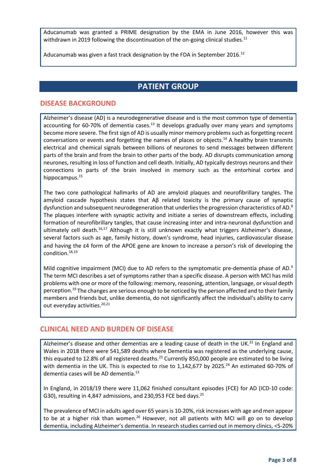Aducanumab was granted a PRIME designation by the EMA in June 2016, however this was withdrawn in 2019 following the discontinuation of the on-going clinical studies.<sup>11</sup>

Aducanumab was given a fast track designation by the FDA in September 2016.<sup>12</sup>

## **PATIENT GROUP**

### **DISEASE BACKGROUND**

Alzheimer's disease (AD) is a neurodegenerative disease and is the most common type of dementia accounting for 60-70% of dementia cases. $^{13}$  It develops gradually over many years and symptoms become more severe. The first sign of AD is usually minor memory problems such as forgetting recent conversations or events and forgetting the names of places or objects.<sup>14</sup> A healthy brain transmits electrical and chemical signals between billions of neurones to send messages between different parts of the brain and from the brain to other parts of the body. AD disrupts communication among neurones, resulting in loss of function and cell death. Initially, AD typically destroys neurons and their connections in parts of the brain involved in memory such as the entorhinal cortex and hippocampus.<sup>15</sup>

The two core pathological hallmarks of AD are amyloid plaques and neurofibrillary tangles. The amyloid cascade hypothesis states that Aβ related toxicity is the primary cause of synaptic dysfunction and subsequent neurodegeneration that underlies the progression characteristics of AD.<sup>8</sup> The plaques interfere with synaptic activity and initiate a series of downstream effects, including formation of neurofibrillary tangles, that cause increasing inter and intra-neuronal dysfunction and ultimately cell death.<sup>16,17</sup> Although it is still unknown exactly what triggers Alzheimer's disease, several factors such as age, family history, down's syndrome, head injuries, cardiovascular disease and having the ε4 form of the APOE gene are known to increase a person's risk of developing the condition.18,19

Mild cognitive impairment (MCI) due to AD refers to the symptomatic pre-dementia phase of AD.<sup>9</sup> The term MCI describes a set of symptoms rather than a specific disease. A person with MCI has mild problems with one or more of the following: memory, reasoning, attention, language, or visual depth perception.19 The changes are serious enough to be noticed by the person affected and to their family members and friends but, unlike dementia, do not significantly affect the individual's ability to carry out everyday activities.<sup>20,21</sup>

#### **CLINICAL NEED AND BURDEN OF DISEASE**

Alzheimer's disease and other dementias are a leading cause of death in the UK.<sup>22</sup> In England and Wales in 2018 there were 541,589 deaths where Dementia was registered as the underlying cause, this equated to 12.8% of all registered deaths.<sup>23</sup> Currently 850,000 people are estimated to be living with dementia in the UK. This is expected to rise to 1,142,677 by 2025.<sup>24</sup> An estimated 60-70% of dementia cases will be AD dementia.<sup>13</sup>

In England, in 2018/19 there were 11,062 finished consultant episodes (FCE) for AD (ICD-10 code: G30), resulting in 4,847 admissions, and 230,953 FCE bed days.<sup>25</sup>

The prevalence of MCI in adults aged over 65 years is 10-20%, risk increases with age and men appear to be at a higher risk than women.<sup>26</sup> However, not all patients with MCI will go on to develop dementia, including Alzheimer's dementia. In research studies carried out in memory clinics, <5-20%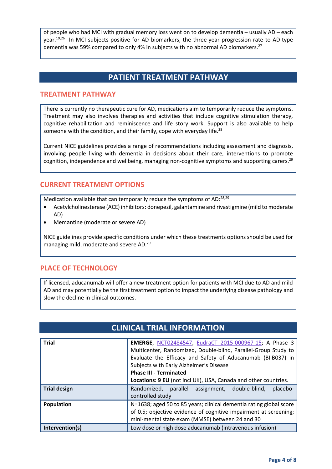of people who had MCI with gradual memory loss went on to develop dementia – usually AD – each year.<sup>19,26</sup> In MCI subjects positive for AD biomarkers, the three-year progression rate to AD-type dementia was 59% compared to only 4% in subjects with no abnormal AD biomarkers.<sup>27</sup>

## **PATIENT TREATMENT PATHWAY**

#### **TREATMENT PATHWAY**

There is currently no therapeutic cure for AD, medications aim to temporarily reduce the symptoms. Treatment may also involves therapies and activities that include cognitive stimulation therapy, cognitive rehabilitation and reminiscence and life story work. Support is also available to help someone with the condition, and their family, cope with everyday life.<sup>28</sup>

Current NICE guidelines provides a range of recommendations including assessment and diagnosis, involving people living with dementia in decisions about their care, interventions to promote cognition, independence and wellbeing, managing non-cognitive symptoms and supporting carers.<sup>29</sup>

### **CURRENT TREATMENT OPTIONS**

Medication available that can temporarily reduce the symptoms of AD:28,29

- Acetylcholinesterase (ACE) inhibitors: donepezil, galantamine and rivastigmine (mild to moderate AD)
- Memantine (moderate or severe AD)

NICE guidelines provide specific conditions under which these treatments options should be used for managing mild, moderate and severe AD.29

#### **PLACE OF TECHNOLOGY**

If licensed, aducanumab will offer a new treatment option for patients with MCI due to AD and mild AD and may potentially be the first treatment option to impact the underlying disease pathology and slow the decline in clinical outcomes.

| <b>Trial</b>        | EMERGE, NCT02484547, EudraCT 2015-000967-15; A Phase 3<br>Multicenter, Randomized, Double-blind, Parallel-Group Study to<br>Evaluate the Efficacy and Safety of Aducanumab (BIIB037) in<br>Subjects with Early Alzheimer's Disease<br><b>Phase III - Terminated</b><br>Locations: 9 EU (not incl UK), USA, Canada and other countries. |
|---------------------|----------------------------------------------------------------------------------------------------------------------------------------------------------------------------------------------------------------------------------------------------------------------------------------------------------------------------------------|
| <b>Trial design</b> | Randomized, parallel assignment, double-blind,<br>placebo-<br>controlled study                                                                                                                                                                                                                                                         |
| Population          | N=1638; aged 50 to 85 years; clinical dementia rating global score<br>of 0.5; objective evidence of cognitive impairment at screening;<br>mini-mental state exam (MMSE) between 24 and 30                                                                                                                                              |
| Intervention(s)     | Low dose or high dose aducanumab (intravenous infusion)                                                                                                                                                                                                                                                                                |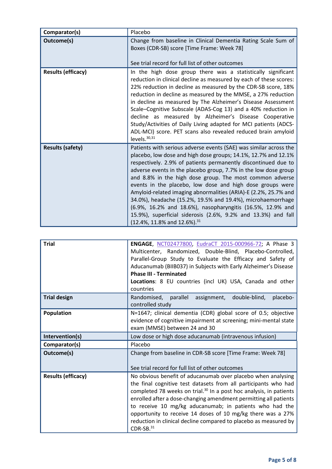| Comparator(s)             | Placebo                                                                                                                                                                                                                                                                                                                                                                                                                                                                                                                                                                                                                                                                                                               |
|---------------------------|-----------------------------------------------------------------------------------------------------------------------------------------------------------------------------------------------------------------------------------------------------------------------------------------------------------------------------------------------------------------------------------------------------------------------------------------------------------------------------------------------------------------------------------------------------------------------------------------------------------------------------------------------------------------------------------------------------------------------|
| Outcome(s)                | Change from baseline in Clinical Dementia Rating Scale Sum of<br>Boxes (CDR-SB) score [Time Frame: Week 78]<br>See trial record for full list of other outcomes                                                                                                                                                                                                                                                                                                                                                                                                                                                                                                                                                       |
| <b>Results (efficacy)</b> | In the high dose group there was a statistically significant<br>reduction in clinical decline as measured by each of these scores:<br>22% reduction in decline as measured by the CDR-SB score, 18%<br>reduction in decline as measured by the MMSE, a 27% reduction<br>in decline as measured by The Alzheimer's Disease Assessment<br>Scale-Cognitive Subscale (ADAS-Cog 13) and a 40% reduction in<br>decline as measured by Alzheimer's Disease Cooperative<br>Study/Activities of Daily Living adapted for MCI patients (ADCS-<br>ADL-MCI) score. PET scans also revealed reduced brain amyloid<br>levels. $30,31$                                                                                               |
| <b>Results (safety)</b>   | Patients with serious adverse events (SAE) was similar across the<br>placebo, low dose and high dose groups; 14.1%, 12.7% and 12.1%<br>respectively. 2.9% of patients permanently discontinued due to<br>adverse events in the placebo group, 7.7% in the low dose group<br>and 8.8% in the high dose group. The most common adverse<br>events in the placebo, low dose and high dose groups were<br>Amyloid-related imaging abnormalities (ARIA)-E (2.2%, 25.7% and<br>34.0%), headache (15.2%, 19.5% and 19.4%), microhaemorrhage<br>(6.9%, 16.2% and 18.6%), nasopharyngitis (16.5%, 12.9% and<br>15.9%), superficial siderosis (2.6%, 9.2% and 13.3%) and fall<br>$(12.4\%, 11.8\%$ and $12.6\%$ ). <sup>31</sup> |

| <b>Trial</b>              | ENGAGE, NCT02477800, EudraCT 2015-000966-72; A Phase 3<br>Multicenter, Randomized, Double-Blind, Placebo-Controlled,<br>Parallel-Group Study to Evaluate the Efficacy and Safety of<br>Aducanumab (BIIB037) in Subjects with Early Alzheimer's Disease<br><b>Phase III - Terminated</b><br>Locations: 8 EU countries (incl UK) USA, Canada and other<br>countries                                                                                                                                  |
|---------------------------|----------------------------------------------------------------------------------------------------------------------------------------------------------------------------------------------------------------------------------------------------------------------------------------------------------------------------------------------------------------------------------------------------------------------------------------------------------------------------------------------------|
| <b>Trial design</b>       | Randomised, parallel assignment, double-blind,<br>placebo-<br>controlled study                                                                                                                                                                                                                                                                                                                                                                                                                     |
| <b>Population</b>         | N=1647; clinical dementia (CDR) global score of 0.5; objective<br>evidence of cognitive impairment at screening; mini-mental state<br>exam (MMSE) between 24 and 30                                                                                                                                                                                                                                                                                                                                |
| Intervention(s)           | Low dose or high dose aducanumab (intravenous infusion)                                                                                                                                                                                                                                                                                                                                                                                                                                            |
| Comparator(s)             | Placebo                                                                                                                                                                                                                                                                                                                                                                                                                                                                                            |
| Outcome(s)                | Change from baseline in CDR-SB score [Time Frame: Week 78]<br>See trial record for full list of other outcomes                                                                                                                                                                                                                                                                                                                                                                                     |
| <b>Results (efficacy)</b> | No obvious benefit of aducanumab over placebo when analysing<br>the final cognitive test datasets from all participants who had<br>completed 78 weeks on trial. <sup>30</sup> In a post hoc analysis, in patients<br>enrolled after a dose-changing amendment permitting all patients<br>to receive 10 mg/kg aducanumab; in patients who had the<br>opportunity to receive 14 doses of 10 mg/kg there was a 27%<br>reduction in clinical decline compared to placebo as measured by<br>$CDR-SB.31$ |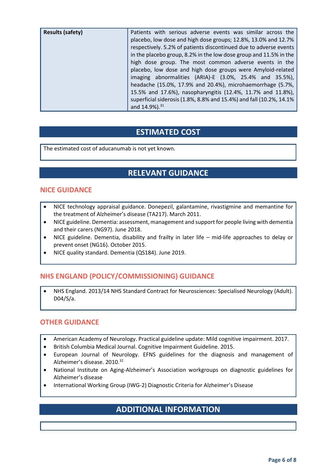| <b>Results (safety)</b> | Patients with serious adverse events was similar across the<br>placebo, low dose and high dose groups; 12.8%, 13.0% and 12.7%<br>respectively. 5.2% of patients discontinued due to adverse events<br>in the placebo group, 8.2% in the low dose group and 11.5% in the<br>high dose group. The most common adverse events in the<br>placebo, low dose and high dose groups were Amyloid-related<br>imaging abnormalities (ARIA)-E (3.0%, 25.4% and 35.5%),<br>headache (15.0%, 17.9% and 20.4%), microhaemorrhage (5.7%,<br>15.5% and 17.6%), nasopharyngitis (12.4%, 11.7% and 11.8%), |
|-------------------------|------------------------------------------------------------------------------------------------------------------------------------------------------------------------------------------------------------------------------------------------------------------------------------------------------------------------------------------------------------------------------------------------------------------------------------------------------------------------------------------------------------------------------------------------------------------------------------------|
|                         | superficial siderosis (1.8%, 8.8% and 15.4%) and fall (10.2%, 14.1%<br>and 14.9%). <sup>31</sup>                                                                                                                                                                                                                                                                                                                                                                                                                                                                                         |

## **ESTIMATED COST**

The estimated cost of aducanumab is not yet known.

## **RELEVANT GUIDANCE**

### **NICE GUIDANCE**

- NICE technology appraisal guidance. Donepezil, galantamine, rivastigmine and memantine for the treatment of Alzheimer's disease (TA217). March 2011.
- NICE guideline. Dementia: assessment, management and support for people living with dementia and their carers (NG97). June 2018.
- NICE guideline. Dementia, disability and frailty in later life mid-life approaches to delay or prevent onset (NG16). October 2015.
- NICE quality standard. Dementia (QS184). June 2019.

## **NHS ENGLAND (POLICY/COMMISSIONING) GUIDANCE**

• NHS England. 2013/14 NHS Standard Contract for Neurosciences: Specialised Neurology (Adult). D04/S/a.

#### **OTHER GUIDANCE**

- American Academy of Neurology. Practical guideline update: Mild cognitive impairment. 2017.
- British Columbia Medical Journal. Cognitive Impairment Guideline. 2015.
- European Journal of Neurology. EFNS guidelines for the diagnosis and management of Alzheimer's disease. 2010.<sup>32</sup>
- National Institute on Aging-Alzheimer's Association workgroups on diagnostic guidelines for Alzheimer's disease
- International Working Group (IWG-2) Diagnostic Criteria for Alzheimer's Disease

## **ADDITIONAL INFORMATION**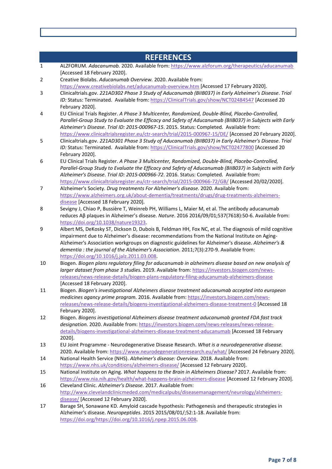|              | <b>REFERENCES</b>                                                                                                                                                                                                                                                                                                                                                                                           |
|--------------|-------------------------------------------------------------------------------------------------------------------------------------------------------------------------------------------------------------------------------------------------------------------------------------------------------------------------------------------------------------------------------------------------------------|
| $\mathbf{1}$ | ALZFORUM. Adacanumab. 2020. Available from: https://www.alzforum.org/therapeutics/aducanumab<br>[Accessed 18 February 2020].                                                                                                                                                                                                                                                                                |
| 2            | Creative Biolabs. Aducanumab Overview. 2020. Available from:<br>https://www.creativebiolabs.net/aducanumab-overview.htm [Accessed 17 February 2020].                                                                                                                                                                                                                                                        |
| 3            | Clinicaltrials.gov. 221AD302 Phase 3 Study of Aducanumab (BIIB037) in Early Alzheimer's Disease. Trial                                                                                                                                                                                                                                                                                                      |
|              | ID: Status: Terminated. Available from: https://ClinicalTrials.gov/show/NCT02484547 [Accessed 20<br>February 2020].                                                                                                                                                                                                                                                                                         |
| 4            | EU Clinical Trials Register. A Phase 3 Multicenter, Randomized, Double-Blind, Placebo-Controlled,<br>Parallel-Group Study to Evaluate the Efficacy and Safety of Aducanumab (BIIB037) in Subjects with Early<br>Alzheimer's Disease. Trial ID: 2015-000967-15. 2015. Status: Completed. Available from:                                                                                                     |
| 5            | https://www.clinicaltrialsregister.eu/ctr-search/trial/2015-000967-15/DE/ [Accessed 20 February 2020].<br>Clinicaltrials.gov. 221AD301 Phase 3 Study of Aducanumab (BIIB037) in Early Alzheimer's Disease. Trial<br>ID: Status: Terminated. Available from: https://ClinicalTrials.gov/show/NCT02477800 [Accessed 20                                                                                        |
|              | February 2020].                                                                                                                                                                                                                                                                                                                                                                                             |
| 6            | EU Clinical Trials Register. A Phase 3 Multicenter, Randomized, Double-Blind, Placebo-Controlled,<br>Parallel-Group Study to Evaluate the Efficacy and Safety of Aducanumab (BIIB037) in Subjects with Early<br>Alzheimer's Disease. Trial ID: 2015-000966-72. 2016. Status: Completed. Available from:<br>https://www.clinicaltrialsregister.eu/ctr-search/trial/2015-000966-72/GB/ [Accessed 20/02/2020]. |
| 7            | Alzheimer's Society. Drug treatments For Alzheimer's disease. 2020. Available from:                                                                                                                                                                                                                                                                                                                         |
|              | https://www.alzheimers.org.uk/about-dementia/treatments/drugs/drug-treatments-alzheimers-                                                                                                                                                                                                                                                                                                                   |
|              | disease [Accessed 18 February 2020].                                                                                                                                                                                                                                                                                                                                                                        |
| 8            | Sevigny J, Chiao P, Bussière T, Weinreb PH, Williams L, Maier M, et al. The antibody aducanumab                                                                                                                                                                                                                                                                                                             |
|              | reduces Aβ plaques in Alzheimer's disease. Nature. 2016 2016/09/01;537(7618):50-6. Available from:                                                                                                                                                                                                                                                                                                          |
| 9            | https://doi.org/10.1038/nature19323                                                                                                                                                                                                                                                                                                                                                                         |
|              | Albert MS, DeKosky ST, Dickson D, Dubois B, Feldman HH, Fox NC, et al. The diagnosis of mild cognitive<br>impairment due to Alzheimer's disease: recommendations from the National Institute on Aging-                                                                                                                                                                                                      |
|              | Alzheimer's Association workgroups on diagnostic guidelines for Alzheimer's disease. Alzheimer's &                                                                                                                                                                                                                                                                                                          |
|              | dementia : the journal of the Alzheimer's Association. 2011;7(3):270-9. Available from:                                                                                                                                                                                                                                                                                                                     |
|              | https://doi.org/10.1016/j.jalz.2011.03.008                                                                                                                                                                                                                                                                                                                                                                  |
| 10           | Biogen. Biogen plans regulatory filing for aducanumab in alzheimers disease based on new analysis of<br>larger dataset from phase 3 studies. 2019. Available from: https://investors.biogen.com/news-                                                                                                                                                                                                       |
|              | releases/news-release-details/biogen-plans-regulatory-filing-aducanumab-alzheimers-disease                                                                                                                                                                                                                                                                                                                  |
|              | [Accessed 18 February 2020].                                                                                                                                                                                                                                                                                                                                                                                |
| 11           | Biogen. Biogen's investigational Alzheimers disease treatment aducanumab accepted into european<br>medicines agancy prime program. 2016. Available from: https://investors.biogen.com/news-<br>releases/news-release-details/biogens-investigational-alzheimers-disease-treatment-0 [Accessed 18                                                                                                            |
|              | February 2020].                                                                                                                                                                                                                                                                                                                                                                                             |
| 12           | Biogen. Biogens investigational Alzheimers disease treatment aducanumab granted FDA fast track                                                                                                                                                                                                                                                                                                              |
|              | designation. 2020. Available from: https://investors.biogen.com/news-releases/news-release-                                                                                                                                                                                                                                                                                                                 |
|              | details/biogens-investigational-alzheimers-disease-treatment-aducanumab [Accessed 18 February<br>2020].                                                                                                                                                                                                                                                                                                     |
| 13           | EU Joint Programme - Neurodegenerative Disease Research. What is a neurodegenerative disease.                                                                                                                                                                                                                                                                                                               |
| 14           | 2020. Available from: https://www.neurodegenerationresearch.eu/what/ [Accessed 24 February 2020].<br>National Health Service (NHS). Alzheimer's disease: Overview. 2018. Available from:                                                                                                                                                                                                                    |
|              | https://www.nhs.uk/conditions/alzheimers-disease/ [Accessed 12 February 2020].                                                                                                                                                                                                                                                                                                                              |
| 15           | National Institute on Aging. What happens to the Brain in Alzheimers Disease? 2017. Available from:<br>https://www.nia.nih.gov/health/what-happens-brain-alzheimers-disease [Accessed 12 February 2020].                                                                                                                                                                                                    |
| 16           | Cleveland Clinic. Alzheimer's Disease. 2017. Available from:                                                                                                                                                                                                                                                                                                                                                |
|              | http://www.clevelandclinicmeded.com/medicalpubs/diseasemanagement/neurology/alzheimers-<br>disease/ [Accessed 12 February 2020].                                                                                                                                                                                                                                                                            |
| 17           | Barage SH, Sonawane KD. Amyloid cascade hypothesis: Pathogenesis and therapeutic strategies in                                                                                                                                                                                                                                                                                                              |
|              | Alzheimer's disease. Neuropeptides. 2015 2015/08/01/;52:1-18. Available from:                                                                                                                                                                                                                                                                                                                               |
|              | https://doi.org/https://doi.org/10.1016/j.npep.2015.06.008                                                                                                                                                                                                                                                                                                                                                  |
|              |                                                                                                                                                                                                                                                                                                                                                                                                             |